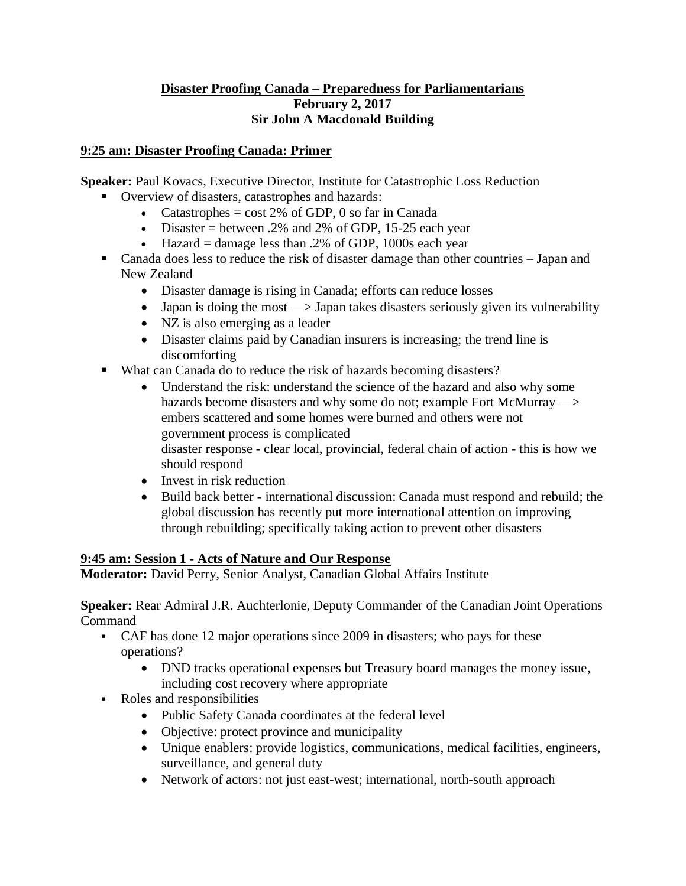#### **Disaster Proofing Canada – Preparedness for Parliamentarians February 2, 2017 Sir John A Macdonald Building**

### **9:25 am: Disaster Proofing Canada: Primer**

**Speaker:** Paul Kovacs, Executive Director, Institute for Catastrophic Loss Reduction

- Overview of disasters, catastrophes and hazards:
	- Catastrophes  $= \cos t 2\%$  of GDP, 0 so far in Canada
	- Disaster = between .2% and 2% of GDP, 15-25 each year
	- Hazard = damage less than  $.2\%$  of GDP, 1000s each year
- Canada does less to reduce the risk of disaster damage than other countries Japan and New Zealand
	- Disaster damage is rising in Canada; efforts can reduce losses
	- Japan is doing the most  $\rightarrow$  Japan takes disasters seriously given its vulnerability
	- NZ is also emerging as a leader
	- Disaster claims paid by Canadian insurers is increasing; the trend line is discomforting
- What can Canada do to reduce the risk of hazards becoming disasters?
	- Understand the risk: understand the science of the hazard and also why some hazards become disasters and why some do not; example Fort McMurray  $\rightarrow$ embers scattered and some homes were burned and others were not government process is complicated disaster response - clear local, provincial, federal chain of action - this is how we should respond
	- Invest in risk reduction
	- Build back better international discussion: Canada must respond and rebuild; the global discussion has recently put more international attention on improving through rebuilding; specifically taking action to prevent other disasters

# **9:45 am: Session 1 - Acts of Nature and Our Response**

**Moderator:** David Perry, Senior Analyst, Canadian Global Affairs Institute

**Speaker:** Rear Admiral J.R. Auchterlonie, Deputy Commander of the Canadian Joint Operations Command

- CAF has done 12 major operations since 2009 in disasters; who pays for these operations?
	- DND tracks operational expenses but Treasury board manages the money issue, including cost recovery where appropriate
- Roles and responsibilities
	- Public Safety Canada coordinates at the federal level
	- Objective: protect province and municipality
	- Unique enablers: provide logistics, communications, medical facilities, engineers, surveillance, and general duty
	- Network of actors: not just east-west; international, north-south approach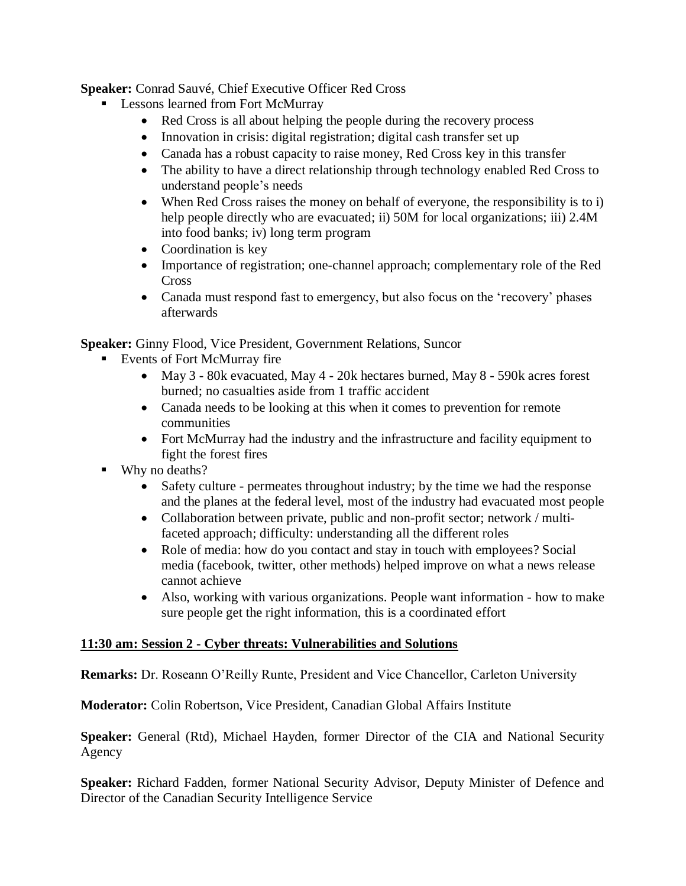**Speaker:** Conrad Sauvé, Chief Executive Officer Red Cross

- Lessons learned from Fort McMurray
	- Red Cross is all about helping the people during the recovery process
	- Innovation in crisis: digital registration; digital cash transfer set up
	- Canada has a robust capacity to raise money, Red Cross key in this transfer
	- The ability to have a direct relationship through technology enabled Red Cross to understand people's needs
	- When Red Cross raises the money on behalf of everyone, the responsibility is to i) help people directly who are evacuated; ii) 50M for local organizations; iii) 2.4M into food banks; iv) long term program
	- Coordination is key
	- Importance of registration; one-channel approach; complementary role of the Red Cross
	- Canada must respond fast to emergency, but also focus on the 'recovery' phases afterwards

**Speaker:** Ginny Flood, Vice President, Government Relations, Suncor

- Events of Fort McMurray fire
	- May 3 80k evacuated, May 4 20k hectares burned, May 8 590k acres forest burned; no casualties aside from 1 traffic accident
	- Canada needs to be looking at this when it comes to prevention for remote communities
	- Fort McMurray had the industry and the infrastructure and facility equipment to fight the forest fires
- Why no deaths?
	- Safety culture permeates throughout industry; by the time we had the response and the planes at the federal level, most of the industry had evacuated most people
	- Collaboration between private, public and non-profit sector; network / multifaceted approach; difficulty: understanding all the different roles
	- Role of media: how do you contact and stay in touch with employees? Social media (facebook, twitter, other methods) helped improve on what a news release cannot achieve
	- Also, working with various organizations. People want information how to make sure people get the right information, this is a coordinated effort

#### **11:30 am: Session 2 - Cyber threats: Vulnerabilities and Solutions**

**Remarks:** Dr. Roseann O'Reilly Runte, President and Vice Chancellor, Carleton University

**Moderator:** Colin Robertson, Vice President, Canadian Global Affairs Institute

**Speaker:** General (Rtd), Michael Hayden, former Director of the CIA and National Security Agency

**Speaker:** Richard Fadden, former National Security Advisor, Deputy Minister of Defence and Director of the Canadian Security Intelligence Service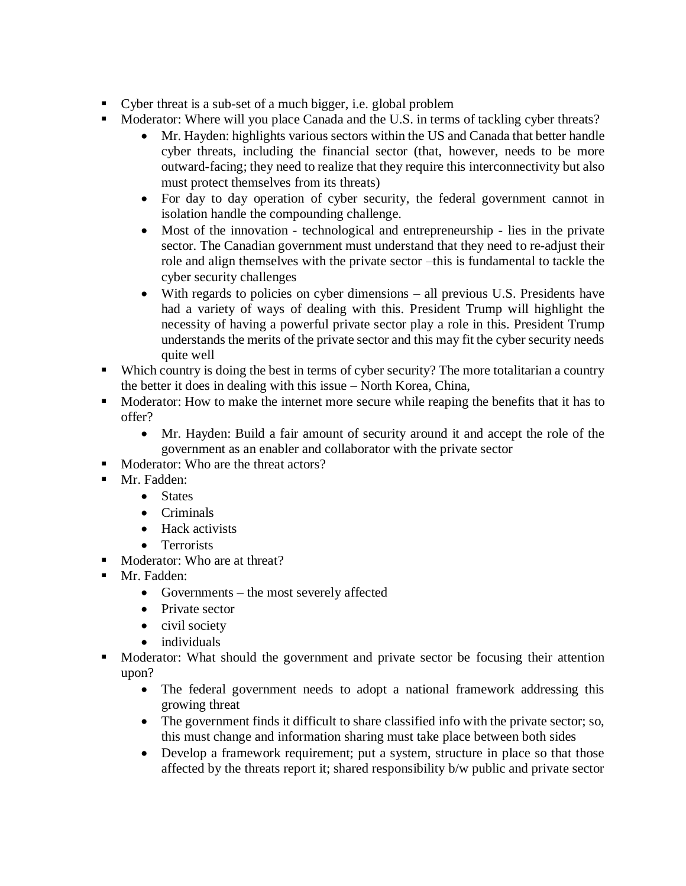- Cyber threat is a sub-set of a much bigger, i.e. global problem
- Moderator: Where will you place Canada and the U.S. in terms of tackling cyber threats?
	- Mr. Hayden: highlights various sectors within the US and Canada that better handle cyber threats, including the financial sector (that, however, needs to be more outward-facing; they need to realize that they require this interconnectivity but also must protect themselves from its threats)
	- For day to day operation of cyber security, the federal government cannot in isolation handle the compounding challenge.
	- Most of the innovation technological and entrepreneurship lies in the private sector. The Canadian government must understand that they need to re-adjust their role and align themselves with the private sector –this is fundamental to tackle the cyber security challenges
	- With regards to policies on cyber dimensions all previous U.S. Presidents have had a variety of ways of dealing with this. President Trump will highlight the necessity of having a powerful private sector play a role in this. President Trump understands the merits of the private sector and this may fit the cyber security needs quite well
- Which country is doing the best in terms of cyber security? The more totalitarian a country the better it does in dealing with this issue – North Korea, China,
- Moderator: How to make the internet more secure while reaping the benefits that it has to offer?
	- Mr. Hayden: Build a fair amount of security around it and accept the role of the government as an enabler and collaborator with the private sector
- Moderator: Who are the threat actors?
- Mr. Fadden:
	- States
	- Criminals
	- Hack activists
	- Terrorists
- Moderator: Who are at threat?
- Mr. Fadden:
	- Governments the most severely affected
	- Private sector
	- civil society
	- individuals
- Moderator: What should the government and private sector be focusing their attention upon?
	- The federal government needs to adopt a national framework addressing this growing threat
	- The government finds it difficult to share classified info with the private sector; so, this must change and information sharing must take place between both sides
	- Develop a framework requirement; put a system, structure in place so that those affected by the threats report it; shared responsibility b/w public and private sector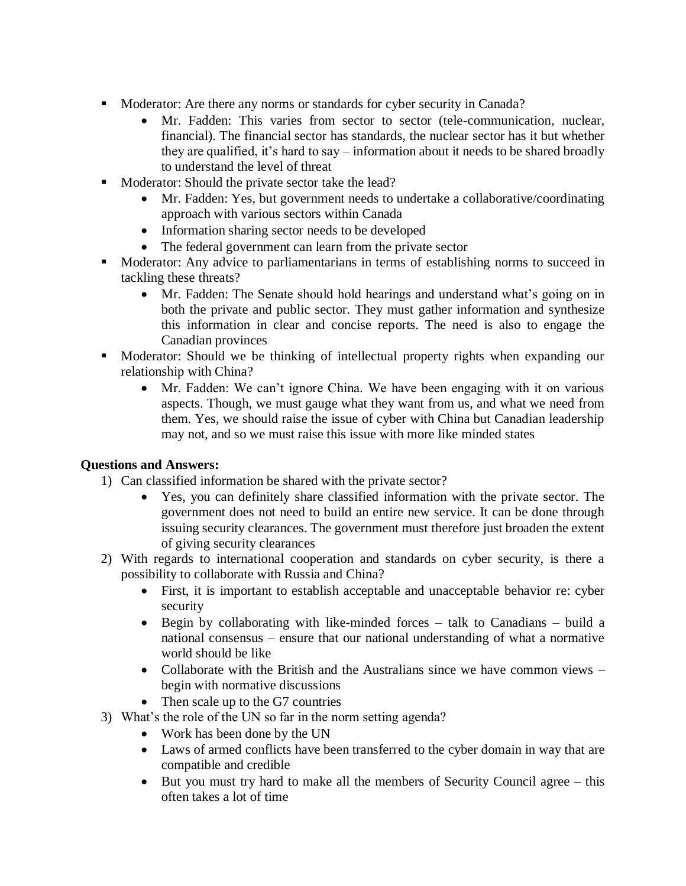- Moderator: Are there any norms or standards for cyber security in Canada?
	- Mr. Fadden: This varies from sector to sector (tele-communication, nuclear, financial). The financial sector has standards, the nuclear sector has it but whether they are qualified, it's hard to say – information about it needs to be shared broadly to understand the level of threat
- Moderator: Should the private sector take the lead?
	- Mr. Fadden: Yes, but government needs to undertake a collaborative/coordinating approach with various sectors within Canada
	- Information sharing sector needs to be developed
	- The federal government can learn from the private sector
- Moderator: Any advice to parliamentarians in terms of establishing norms to succeed in tackling these threats?
	- Mr. Fadden: The Senate should hold hearings and understand what's going on in both the private and public sector. They must gather information and synthesize this information in clear and concise reports. The need is also to engage the Canadian provinces
- Moderator: Should we be thinking of intellectual property rights when expanding our relationship with China?
	- Mr. Fadden: We can't ignore China. We have been engaging with it on various aspects. Though, we must gauge what they want from us, and what we need from them. Yes, we should raise the issue of cyber with China but Canadian leadership may not, and so we must raise this issue with more like minded states

#### **Questions and Answers:**

- 1) Can classified information be shared with the private sector?
	- Yes, you can definitely share classified information with the private sector. The government does not need to build an entire new service. It can be done through issuing security clearances. The government must therefore just broaden the extent of giving security clearances
- 2) With regards to international cooperation and standards on cyber security, is there a possibility to collaborate with Russia and China?
	- First, it is important to establish acceptable and unacceptable behavior re: cyber security
	- Begin by collaborating with like-minded forces talk to Canadians build a national consensus – ensure that our national understanding of what a normative world should be like
	- Collaborate with the British and the Australians since we have common views begin with normative discussions
	- Then scale up to the G7 countries
- 3) What's the role of the UN so far in the norm setting agenda?
	- Work has been done by the UN
	- Laws of armed conflicts have been transferred to the cyber domain in way that are compatible and credible
	- But you must try hard to make all the members of Security Council agree this often takes a lot of time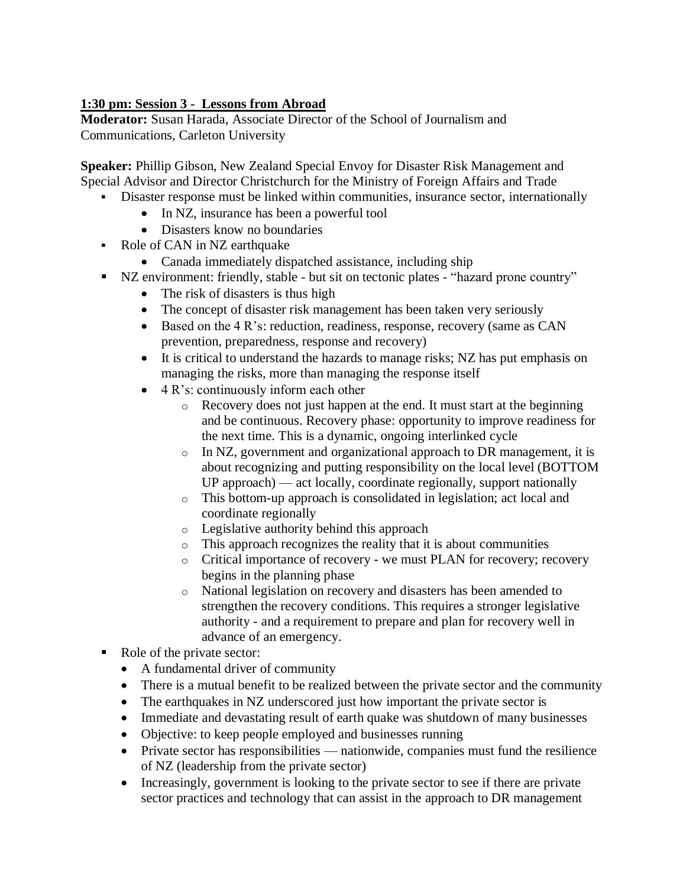# **1:30 pm: Session 3 - Lessons from Abroad**

**Moderator:** Susan Harada, Associate Director of the School of Journalism and Communications, Carleton University

**Speaker:** Phillip Gibson, New Zealand Special Envoy for Disaster Risk Management and Special Advisor and Director Christchurch for the Ministry of Foreign Affairs and Trade

- Disaster response must be linked within communities, insurance sector, internationally
	- In NZ, insurance has been a powerful tool
	- Disasters know no boundaries
- Role of CAN in NZ earthquake
	- Canada immediately dispatched assistance, including ship
- NZ environment: friendly, stable but sit on tectonic plates "hazard prone country"
	- The risk of disasters is thus high
	- The concept of disaster risk management has been taken very seriously
	- Based on the 4 R's: reduction, readiness, response, recovery (same as CAN prevention, preparedness, response and recovery)
	- It is critical to understand the hazards to manage risks; NZ has put emphasis on managing the risks, more than managing the response itself
	- 4 R's: continuously inform each other
		- o Recovery does not just happen at the end. It must start at the beginning and be continuous. Recovery phase: opportunity to improve readiness for the next time. This is a dynamic, ongoing interlinked cycle
		- o In NZ, government and organizational approach to DR management, it is about recognizing and putting responsibility on the local level (BOTTOM UP approach) — act locally, coordinate regionally, support nationally
		- o This bottom-up approach is consolidated in legislation; act local and coordinate regionally
		- o Legislative authority behind this approach
		- o This approach recognizes the reality that it is about communities
		- o Critical importance of recovery we must PLAN for recovery; recovery begins in the planning phase
		- o National legislation on recovery and disasters has been amended to strengthen the recovery conditions. This requires a stronger legislative authority - and a requirement to prepare and plan for recovery well in advance of an emergency.
- Role of the private sector:
	- A fundamental driver of community
	- There is a mutual benefit to be realized between the private sector and the community
	- The earthquakes in NZ underscored just how important the private sector is
	- Immediate and devastating result of earth quake was shutdown of many businesses
	- Objective: to keep people employed and businesses running
	- Private sector has responsibilities nationwide, companies must fund the resilience of NZ (leadership from the private sector)
	- Increasingly, government is looking to the private sector to see if there are private sector practices and technology that can assist in the approach to DR management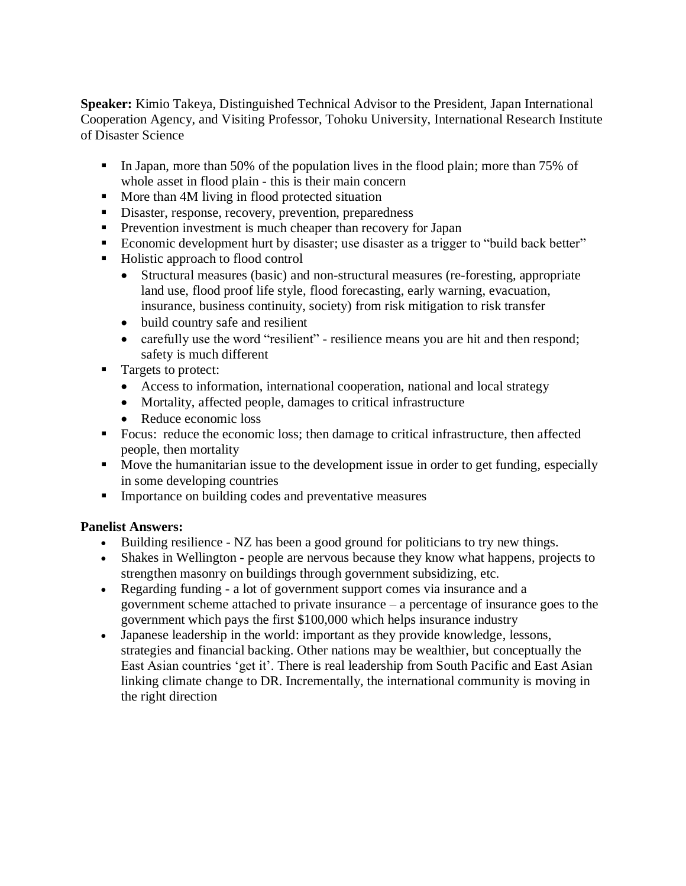**Speaker:** Kimio Takeya, Distinguished Technical Advisor to the President, Japan International Cooperation Agency, and Visiting Professor, Tohoku University, International Research Institute of Disaster Science

- In Japan, more than 50% of the population lives in the flood plain; more than 75% of whole asset in flood plain - this is their main concern
- More than 4M living in flood protected situation
- **EXECUTE:** Disaster, response, recovery, prevention, preparedness
- **•** Prevention investment is much cheaper than recovery for Japan
- Economic development hurt by disaster; use disaster as a trigger to "build back better"
- Holistic approach to flood control
	- Structural measures (basic) and non-structural measures (re-foresting, appropriate land use, flood proof life style, flood forecasting, early warning, evacuation, insurance, business continuity, society) from risk mitigation to risk transfer
	- build country safe and resilient
	- carefully use the word "resilient" resilience means you are hit and then respond; safety is much different
- Targets to protect:
	- Access to information, international cooperation, national and local strategy
	- Mortality, affected people, damages to critical infrastructure
	- Reduce economic loss
- Focus: reduce the economic loss; then damage to critical infrastructure, then affected people, then mortality
- Move the humanitarian issue to the development issue in order to get funding, especially in some developing countries
- **IMPORTANCE ON Building codes and preventative measures**

#### **Panelist Answers:**

- Building resilience NZ has been a good ground for politicians to try new things.
- Shakes in Wellington people are nervous because they know what happens, projects to strengthen masonry on buildings through government subsidizing, etc.
- Regarding funding a lot of government support comes via insurance and a government scheme attached to private insurance – a percentage of insurance goes to the government which pays the first \$100,000 which helps insurance industry
- Japanese leadership in the world: important as they provide knowledge, lessons, strategies and financial backing. Other nations may be wealthier, but conceptually the East Asian countries 'get it'. There is real leadership from South Pacific and East Asian linking climate change to DR. Incrementally, the international community is moving in the right direction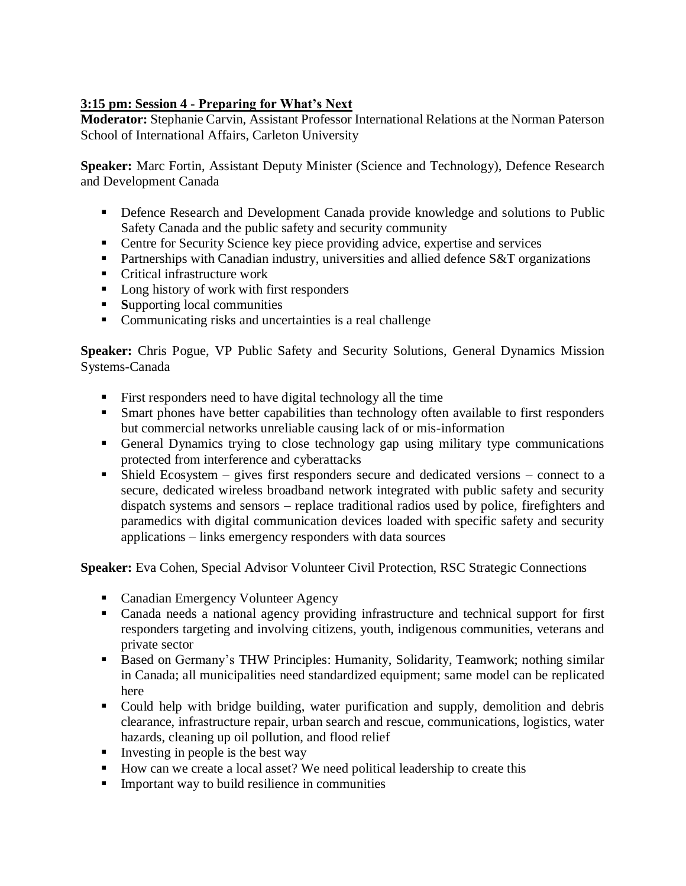# **3:15 pm: Session 4 - Preparing for What's Next**

**Moderator:** Stephanie Carvin, Assistant Professor International Relations at the Norman Paterson School of International Affairs, Carleton University

**Speaker:** Marc Fortin, Assistant Deputy Minister (Science and Technology), Defence Research and Development Canada

- Defence Research and Development Canada provide knowledge and solutions to Public Safety Canada and the public safety and security community
- Centre for Security Science key piece providing advice, expertise and services
- **•** Partnerships with Canadian industry, universities and allied defence S&T organizations
- Critical infrastructure work
- Long history of work with first responders
- **Supporting local communities**
- Communicating risks and uncertainties is a real challenge

**Speaker:** Chris Pogue, VP Public Safety and Security Solutions, General Dynamics Mission Systems-Canada

- First responders need to have digital technology all the time
- **EXECUTE:** Smart phones have better capabilities than technology often available to first responders but commercial networks unreliable causing lack of or mis-information
- General Dynamics trying to close technology gap using military type communications protected from interference and cyberattacks
- $\blacksquare$  Shield Ecosystem gives first responders secure and dedicated versions connect to a secure, dedicated wireless broadband network integrated with public safety and security dispatch systems and sensors – replace traditional radios used by police, firefighters and paramedics with digital communication devices loaded with specific safety and security applications – links emergency responders with data sources

**Speaker:** Eva Cohen, Special Advisor Volunteer Civil Protection, RSC Strategic Connections

- Canadian Emergency Volunteer Agency
- Canada needs a national agency providing infrastructure and technical support for first responders targeting and involving citizens, youth, indigenous communities, veterans and private sector
- Based on Germany's THW Principles: Humanity, Solidarity, Teamwork; nothing similar in Canada; all municipalities need standardized equipment; same model can be replicated here
- Could help with bridge building, water purification and supply, demolition and debris clearance, infrastructure repair, urban search and rescue, communications, logistics, water hazards, cleaning up oil pollution, and flood relief
- $\blacksquare$  Investing in people is the best way
- How can we create a local asset? We need political leadership to create this
- Important way to build resilience in communities